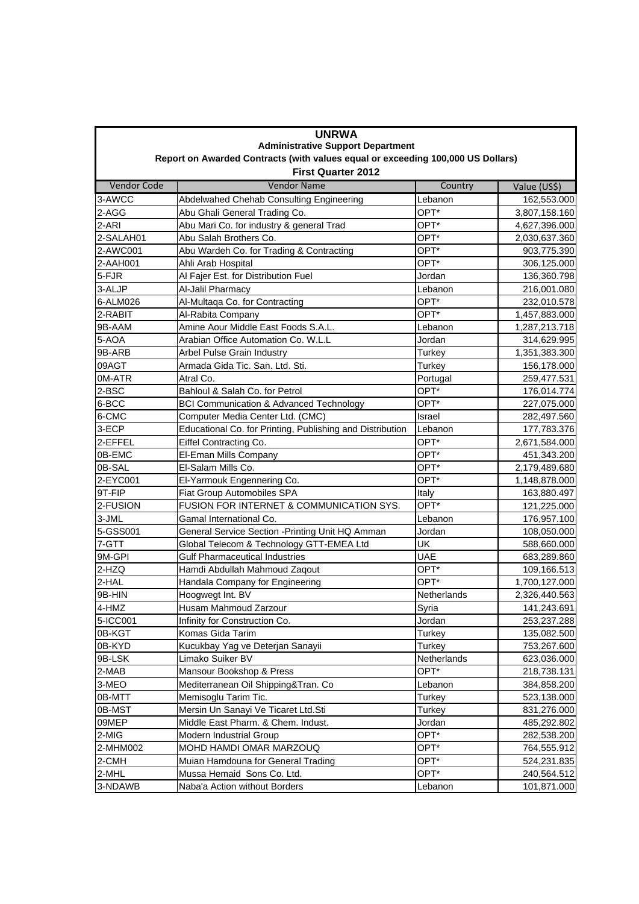| <b>UNRWA</b>                                                                                                                |                                                           |             |               |  |  |
|-----------------------------------------------------------------------------------------------------------------------------|-----------------------------------------------------------|-------------|---------------|--|--|
| <b>Administrative Support Department</b><br>Report on Awarded Contracts (with values equal or exceeding 100,000 US Dollars) |                                                           |             |               |  |  |
| <b>First Quarter 2012</b>                                                                                                   |                                                           |             |               |  |  |
| <b>Vendor Code</b>                                                                                                          | <b>Vendor Name</b>                                        | Country     | Value (US\$)  |  |  |
| 3-AWCC                                                                                                                      | Abdelwahed Chehab Consulting Engineering                  | Lebanon     | 162,553.000   |  |  |
| 2-AGG                                                                                                                       | Abu Ghali General Trading Co.                             | OPT*        | 3,807,158.160 |  |  |
| 2-ARI                                                                                                                       | Abu Mari Co. for industry & general Trad                  | OPT*        | 4,627,396.000 |  |  |
| 2-SALAH01                                                                                                                   | Abu Salah Brothers Co.                                    | OPT*        | 2,030,637.360 |  |  |
| 2-AWC001                                                                                                                    | Abu Wardeh Co. for Trading & Contracting                  | OPT*        | 903,775.390   |  |  |
| 2-AAH001                                                                                                                    | Ahli Arab Hospital                                        | OPT*        | 306,125.000   |  |  |
| 5-FJR                                                                                                                       | Al Fajer Est. for Distribution Fuel                       | Jordan      | 136,360.798   |  |  |
| 3-ALJP                                                                                                                      | Al-Jalil Pharmacy                                         | Lebanon     | 216,001.080   |  |  |
| 6-ALM026                                                                                                                    | Al-Multaqa Co. for Contracting                            | OPT*        | 232,010.578   |  |  |
| 2-RABIT                                                                                                                     | Al-Rabita Company                                         | OPT*        | 1,457,883.000 |  |  |
| 9B-AAM                                                                                                                      | Amine Aour Middle East Foods S.A.L.                       | Lebanon     | 1,287,213.718 |  |  |
| 5-AOA                                                                                                                       | Arabian Office Automation Co. W.L.L                       | Jordan      | 314,629.995   |  |  |
| 9B-ARB                                                                                                                      | Arbel Pulse Grain Industry                                | Turkey      | 1,351,383.300 |  |  |
| 09AGT                                                                                                                       | Armada Gida Tic. San. Ltd. Sti.                           | Turkey      | 156,178.000   |  |  |
| 0M-ATR                                                                                                                      | Atral Co.                                                 | Portugal    | 259,477.531   |  |  |
| 2-BSC                                                                                                                       | Bahloul & Salah Co. for Petrol                            | OPT*        | 176,014.774   |  |  |
| 6-BCC                                                                                                                       | <b>BCI Communication &amp; Advanced Technology</b>        | OPT*        | 227,075.000   |  |  |
| 6-CMC                                                                                                                       | Computer Media Center Ltd. (CMC)                          | Israel      | 282,497.560   |  |  |
| 3-ECP                                                                                                                       | Educational Co. for Printing, Publishing and Distribution | Lebanon     | 177,783.376   |  |  |
| 2-EFFEL                                                                                                                     | Eiffel Contracting Co.                                    | OPT*        | 2,671,584.000 |  |  |
| 0B-EMC                                                                                                                      | El-Eman Mills Company                                     | OPT*        | 451,343.200   |  |  |
| 0B-SAL                                                                                                                      | El-Salam Mills Co.                                        | OPT*        | 2,179,489.680 |  |  |
| 2-EYC001                                                                                                                    | El-Yarmouk Engennering Co.                                | OPT*        | 1,148,878.000 |  |  |
| 9T-FIP                                                                                                                      | Fiat Group Automobiles SPA                                | Italy       | 163,880.497   |  |  |
| 2-FUSION                                                                                                                    | FUSION FOR INTERNET & COMMUNICATION SYS.                  | OPT*        | 121,225.000   |  |  |
| 3-JML                                                                                                                       | Gamal International Co.                                   | Lebanon     | 176,957.100   |  |  |
| 5-GSS001                                                                                                                    | General Service Section -Printing Unit HQ Amman           | Jordan      | 108,050.000   |  |  |
| 7-GTT                                                                                                                       | Global Telecom & Technology GTT-EMEA Ltd                  | <b>UK</b>   | 588,660.000   |  |  |
| 9M-GPI                                                                                                                      | <b>Gulf Pharmaceutical Industries</b>                     | <b>UAE</b>  | 683,289.860   |  |  |
| 2-HZQ                                                                                                                       | Hamdi Abdullah Mahmoud Zaqout                             | OPT*        | 109,166.513   |  |  |
| 2-HAL                                                                                                                       | Handala Company for Engineering                           | OPT*        | 1,700,127.000 |  |  |
| 9B-HIN                                                                                                                      | Hoogwegt Int. BV                                          | Netherlands | 2,326,440.563 |  |  |
| 4-HMZ                                                                                                                       | Husam Mahmoud Zarzour                                     | Syria       | 141,243.691   |  |  |
| 5-ICC001                                                                                                                    | Infinity for Construction Co.                             | Jordan      | 253,237.288   |  |  |
| 0B-KGT                                                                                                                      | Komas Gida Tarim                                          | Turkey      | 135,082.500   |  |  |
| 0B-KYD                                                                                                                      | Kucukbay Yag ve Deterjan Sanayii                          | Turkey      | 753,267.600   |  |  |
| 9B-LSK                                                                                                                      | Limako Suiker BV                                          | Netherlands | 623,036.000   |  |  |
| 2-MAB                                                                                                                       | Mansour Bookshop & Press                                  | OPT*        | 218,738.131   |  |  |
| 3-MEO                                                                                                                       | Mediterranean Oil Shipping&Tran. Co                       | Lebanon     | 384,858.200   |  |  |
| 0B-MTT                                                                                                                      | Memisoglu Tarim Tic.                                      | Turkey      | 523,138.000   |  |  |
| 0B-MST                                                                                                                      | Mersin Un Sanayi Ve Ticaret Ltd.Sti                       | Turkey      | 831,276.000   |  |  |
| 09MEP                                                                                                                       | Middle East Pharm. & Chem. Indust.                        | Jordan      | 485,292.802   |  |  |
| 2-MIG                                                                                                                       | Modern Industrial Group                                   | OPT*        | 282,538.200   |  |  |
| 2-MHM002                                                                                                                    | MOHD HAMDI OMAR MARZOUQ                                   | OPT*        | 764,555.912   |  |  |
| 2-CMH                                                                                                                       | Muian Hamdouna for General Trading                        | OPT*        | 524,231.835   |  |  |
| 2-MHL                                                                                                                       | Mussa Hemaid Sons Co. Ltd.                                | OPT*        | 240,564.512   |  |  |
| 3-NDAWB                                                                                                                     | Naba'a Action without Borders                             | Lebanon     | 101,871.000   |  |  |

j.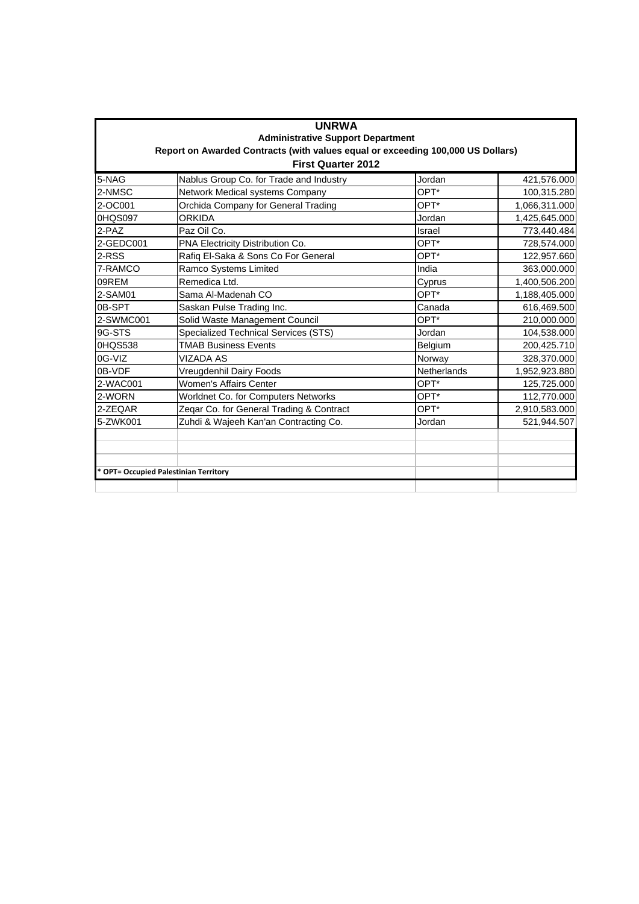| <b>UNRWA</b><br><b>Administrative Support Department</b><br>Report on Awarded Contracts (with values equal or exceeding 100,000 US Dollars)<br><b>First Quarter 2012</b> |                                          |             |               |  |         |                                         |        |               |
|--------------------------------------------------------------------------------------------------------------------------------------------------------------------------|------------------------------------------|-------------|---------------|--|---------|-----------------------------------------|--------|---------------|
|                                                                                                                                                                          |                                          |             |               |  | 5-NAG   | Nablus Group Co. for Trade and Industry | Jordan | 421,576.000   |
|                                                                                                                                                                          |                                          |             |               |  | 2-NMSC  | Network Medical systems Company         | OPT*   | 100,315.280   |
|                                                                                                                                                                          |                                          |             |               |  | 2-OC001 | Orchida Company for General Trading     | OPT*   | 1,066,311.000 |
| 0HQS097                                                                                                                                                                  | <b>ORKIDA</b>                            | Jordan      | 1,425,645.000 |  |         |                                         |        |               |
| 2-PAZ                                                                                                                                                                    | Paz Oil Co.                              | Israel      | 773,440.484   |  |         |                                         |        |               |
| 2-GEDC001                                                                                                                                                                | PNA Electricity Distribution Co.         | OPT*        | 728,574.000   |  |         |                                         |        |               |
| 2-RSS                                                                                                                                                                    | Rafiq El-Saka & Sons Co For General      | OPT*        | 122,957.660   |  |         |                                         |        |               |
| 7-RAMCO                                                                                                                                                                  | Ramco Systems Limited                    | India       | 363,000.000   |  |         |                                         |        |               |
| 09REM                                                                                                                                                                    | Remedica Ltd.                            | Cyprus      | 1,400,506.200 |  |         |                                         |        |               |
| 2-SAM01                                                                                                                                                                  | Sama Al-Madenah CO                       | OPT*        | 1,188,405.000 |  |         |                                         |        |               |
| 0B-SPT                                                                                                                                                                   | Saskan Pulse Trading Inc.                | Canada      | 616,469.500   |  |         |                                         |        |               |
| 2-SWMC001                                                                                                                                                                | Solid Waste Management Council           | OPT*        | 210,000.000   |  |         |                                         |        |               |
| 9G-STS                                                                                                                                                                   | Specialized Technical Services (STS)     | Jordan      | 104,538.000   |  |         |                                         |        |               |
| 0HQS538                                                                                                                                                                  | <b>TMAB Business Events</b>              | Belgium     | 200,425.710   |  |         |                                         |        |               |
| 0G-VIZ                                                                                                                                                                   | VIZADA AS                                | Norway      | 328,370.000   |  |         |                                         |        |               |
| 0B-VDF                                                                                                                                                                   | Vreugdenhil Dairy Foods                  | Netherlands | 1,952,923.880 |  |         |                                         |        |               |
| 2-WAC001                                                                                                                                                                 | Women's Affairs Center                   | OPT*        | 125,725.000   |  |         |                                         |        |               |
| 2-WORN                                                                                                                                                                   | Worldnet Co. for Computers Networks      | OPT*        | 112,770.000   |  |         |                                         |        |               |
| 2-ZEQAR                                                                                                                                                                  | Zeqar Co. for General Trading & Contract | OPT*        | 2,910,583.000 |  |         |                                         |        |               |
| 5-ZWK001                                                                                                                                                                 | Zuhdi & Wajeeh Kan'an Contracting Co.    | Jordan      | 521,944.507   |  |         |                                         |        |               |
|                                                                                                                                                                          |                                          |             |               |  |         |                                         |        |               |
|                                                                                                                                                                          |                                          |             |               |  |         |                                         |        |               |
|                                                                                                                                                                          |                                          |             |               |  |         |                                         |        |               |
| * OPT= Occupied Palestinian Territory                                                                                                                                    |                                          |             |               |  |         |                                         |        |               |
|                                                                                                                                                                          |                                          |             |               |  |         |                                         |        |               |